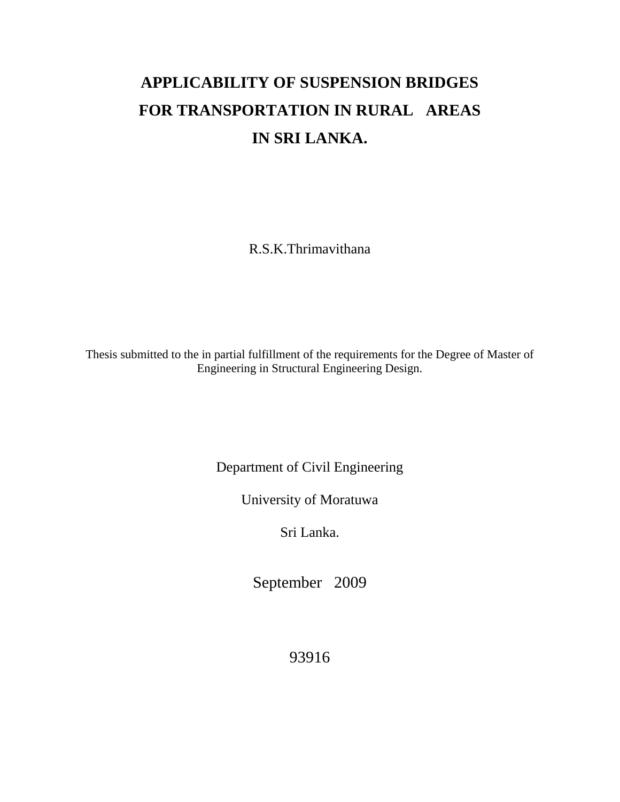## **APPLICABILITY OF SUSPENSION BRIDGES FOR TRANSPORTATION IN RURAL AREAS IN SRI LANKA.**

R.S.K.Thrimavithana

Thesis submitted to the in partial fulfillment of the requirements for the Degree of Master of Engineering in Structural Engineering Design.

Department of Civil Engineering

University of Moratuwa

Sri Lanka.

September 2009

93916